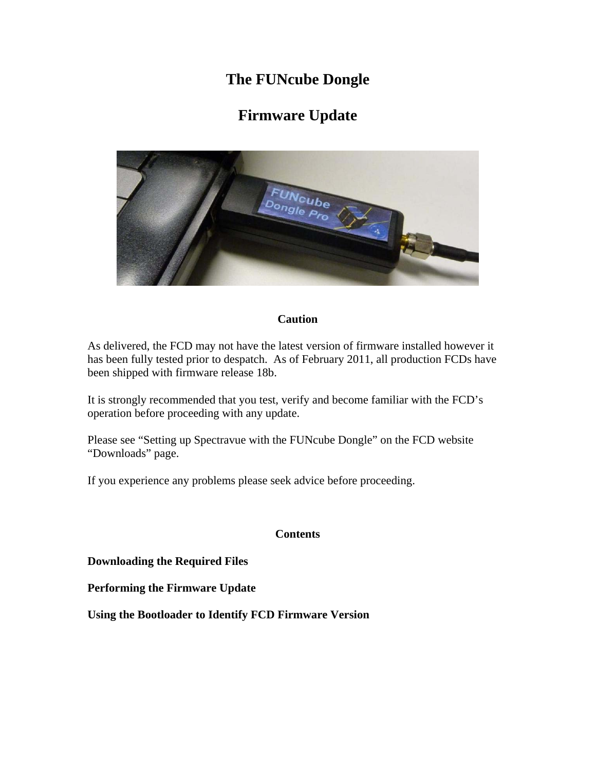## **The FUNcube Dongle**

# **Firmware Update**



#### **Caution**

As delivered, the FCD may not have the latest version of firmware installed however it has been fully tested prior to despatch. As of February 2011, all production FCDs have been shipped with firmware release 18b.

It is strongly recommended that you test, verify and become familiar with the FCD's operation before proceeding with any update.

Please see "Setting up Spectravue with the FUNcube Dongle" on the FCD website "Downloads" page.

If you experience any problems please seek advice before proceeding.

#### **Contents**

**Downloading the Required Files**

**Performing the Firmware Update** 

**Using the Bootloader to Identify FCD Firmware Version**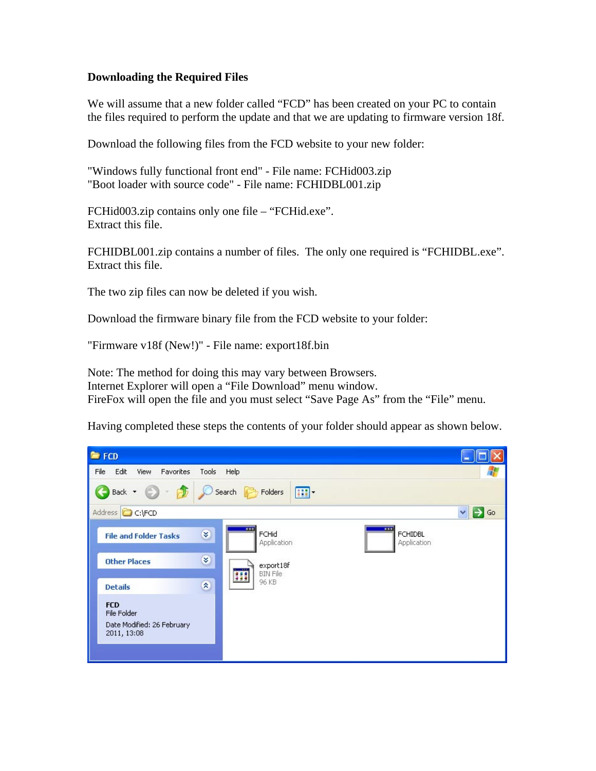#### **Downloading the Required Files**

We will assume that a new folder called "FCD" has been created on your PC to contain the files required to perform the update and that we are updating to firmware version 18f.

Download the following files from the FCD website to your new folder:

"Windows fully functional front end" - File name: FCHid003.zip "Boot loader with source code" - File name: FCHIDBL001.zip

FCHid003.zip contains only one file – "FCHid.exe". Extract this file.

FCHIDBL001.zip contains a number of files. The only one required is "FCHIDBL.exe". Extract this file.

The two zip files can now be deleted if you wish.

Download the firmware binary file from the FCD website to your folder:

"Firmware v18f (New!)" - File name: export18f.bin

Note: The method for doing this may vary between Browsers. Internet Explorer will open a "File Download" menu window. FireFox will open the file and you must select "Save Page As" from the "File" menu.

Having completed these steps the contents of your folder should appear as shown below.

| FCD                                                                    |                                                                       |                                   |
|------------------------------------------------------------------------|-----------------------------------------------------------------------|-----------------------------------|
| Edit<br>File<br>Favorites<br>View                                      | Tools<br>Help                                                         | <b>A</b>                          |
| $\bigodot$ Back $\cdot$ $\bigodot$ $\cdot$ $\bigodot$                  | Search <b>Folders</b><br>$\blacksquare$                               |                                   |
| Address <b>C</b> C:\FCD                                                |                                                                       | Go<br>$\checkmark$                |
| <b>File and Folder Tasks</b>                                           | $\overline{\phantom{a}}$<br>×<br>FCHid<br>Application                 | <br><b>FCHIDBL</b><br>Application |
| <b>Other Places</b>                                                    | $\approx$<br>export18f<br>$\overline{\phantom{a}}$<br><b>BIN File</b> |                                   |
| <b>Details</b>                                                         | H<br>96 KB<br>$\approx$                                               |                                   |
| <b>FCD</b><br>File Folder<br>Date Modified: 26 February<br>2011, 13:08 |                                                                       |                                   |
|                                                                        |                                                                       |                                   |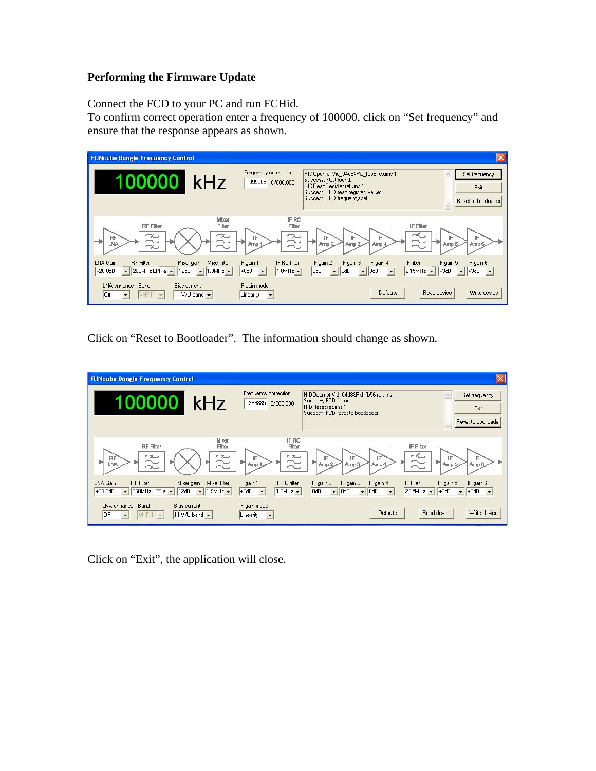### **Performing the Firmware Update**

Connect the FCD to your PC and run FCHid.

To confirm correct operation enter a frequency of 100000, click on "Set frequency" and ensure that the response appears as shown.

| <b>FUNcube Dongle Frequency Control</b>                                                                                       |                                                                                            |                                                                                                                                                                          | $\boldsymbol{\times}$                                                                      |
|-------------------------------------------------------------------------------------------------------------------------------|--------------------------------------------------------------------------------------------|--------------------------------------------------------------------------------------------------------------------------------------------------------------------------|--------------------------------------------------------------------------------------------|
| 100000<br>kHz                                                                                                                 | Frequency correction<br>999885 0/000,000                                                   | HIDOpen of Vid 04d8&Pid fb56 returns 1<br>Success, FCD found.<br><b>HIDReadRegister returns 1</b><br>Success, FCD read register, value: 0<br>Success, FCD frequency set. | Set frequency<br>Exit<br>Reset to bootloader                                               |
| Mixer<br><b>RF</b> Filter<br>Filter<br>$\approx$<br>$\approx$<br>RF<br>LNA                                                    | IF RC<br>Filter<br>$\approx$<br>旧<br>Amp 1                                                 | IF Filter<br>$\sim$<br>IF<br>IF<br>IF<br>Amp <sub>2</sub><br>Amp 3<br>Amp 4                                                                                              | F<br>Amp 6<br>Amp 5                                                                        |
| LNA Gain<br><b>RF</b> Filter<br>Mixer filter<br>Mixer gain<br>268MHz LPF a - 12dB<br>$+20.0$ dB<br>$\bullet$ 1.9MHz $\bullet$ | IF gain 1<br>IF RC filter<br>$+6dB$<br>$\overline{\phantom{a}}$<br>$1.0$ MHz $\rightarrow$ | IF gain 2<br>IF gain 3<br>IF gain 4<br>IF filter<br>OdB<br>2.15MHz<br>$\blacktriangleright$ 0dB<br>$-$ 0dB<br>$\overline{\phantom{a}}$                                   | IF gain 5<br>IF gain 6<br>$+3dB$<br>$\blacktriangleright$ +3dB<br>$\overline{\phantom{a}}$ |
| LNA enhance<br>Band<br><b>Bias current</b><br>loff<br>11 V/U band v<br>VHF II<br>$\mathbb{R}$                                 | IF gain mode<br>Linearity<br>$\blacktriangledown$                                          | <b>Defaults</b>                                                                                                                                                          | Read device<br>Write device                                                                |

Click on "Reset to Bootloader". The information should change as shown.

| <b>FUNcube Dongle Frequency Control</b>                                                                                                                     |                                                                                           |                                                                                                                                                            | $\overline{\mathsf{x}}$                                                                       |
|-------------------------------------------------------------------------------------------------------------------------------------------------------------|-------------------------------------------------------------------------------------------|------------------------------------------------------------------------------------------------------------------------------------------------------------|-----------------------------------------------------------------------------------------------|
| 100000<br>kHz                                                                                                                                               | Frequency correction<br>999885<br>0/000.000                                               | HIDOpen of Vid 04d8&Pid fb56 returns 1<br>Success, FCD found.<br><b>HIDReset returns 1</b><br>Success, FCD reset to bootloader.                            | Set frequency<br>Exit<br>Reset to bootloader                                                  |
| Mixer<br>RF Filter<br>Filter<br>22<br>$\sim$<br>RF<br>LNA<br>$\sim$                                                                                         | IF RC<br>Filter<br>22<br>IF<br>Amp 1                                                      | IF Filter<br>∼<br>IE<br>IE<br>IF<br>Arrip 2<br>Amp 3<br>Amp 4                                                                                              | IF<br>IF<br>Amp 5<br>Arrip 6                                                                  |
| LNA Gain<br><b>RF</b> Filter<br>Mixer filter<br>Mixer gain<br>268MHz LPF $a -$<br>12dB<br>$+20.0$ d $B$<br>$\blacktriangledown$ 1.9MHz $\blacktriangledown$ | IF gain 1<br>IF RC filter<br>$+6dB$<br>$1.0MHz$ $\rightarrow$<br>$\overline{\phantom{a}}$ | IF gain 3<br>IF gain 2<br>IF gain 4<br>IF filter<br>OdB<br> 0dB<br>$\blacktriangleright$ 0dB<br>2.15MHz<br>$\overline{\phantom{a}}$<br>$\vert \cdot \vert$ | IF gain 6<br>IF gain 5<br>$+3dB$<br>$+3dB$<br>$\vert \mathbf{v} \vert$<br>$\vert \cdot \vert$ |
| LNA enhance<br>Band<br><b>Bias current</b><br>VHF II v<br>11 V/U band -<br>Off<br>$\overline{\phantom{a}}$                                                  | IF gain mode<br>Linearity<br>$\overline{\phantom{a}}$                                     | <b>Defaults</b>                                                                                                                                            | Write device<br>Read device                                                                   |

Click on "Exit", the application will close.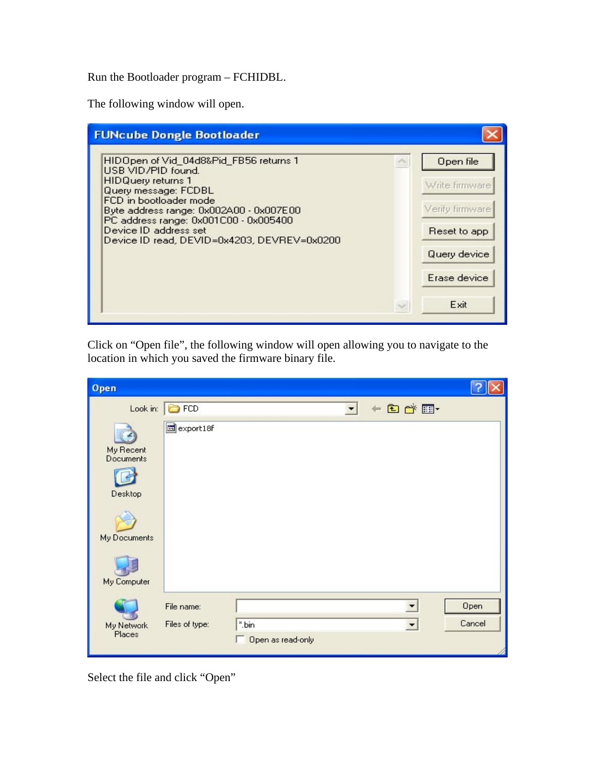Run the Bootloader program – FCHIDBL.

The following window will open.

| <b>FUNcube Dongle Bootloader</b>                                                                                                                                                                                                                                                                        |                                                                                                        |
|---------------------------------------------------------------------------------------------------------------------------------------------------------------------------------------------------------------------------------------------------------------------------------------------------------|--------------------------------------------------------------------------------------------------------|
| HIDOpen of Vid_04d8&Pid_FB56 returns 1<br>USB VID/PID found.<br><b>HIDQuery returns 1</b><br>Query message: FCDBL<br>FCD in bootloader mode<br>Byte address range: 0x002A00 - 0x007E00<br>PC address range: 0x001C00 - 0x005400<br>Device ID address set<br>Device ID read, DEVID=0x4203, DEVREV=0x0200 | Open file<br>Write firmware<br>Verify firmware<br>Reset to app<br>Query device<br>Erase device<br>Exit |

Click on "Open file", the following window will open allowing you to navigate to the location in which you saved the firmware binary file.

| Open                                     |                       |                            |   |                        |        |
|------------------------------------------|-----------------------|----------------------------|---|------------------------|--------|
|                                          | Look in: <b>C</b> FCD |                            | ▼ | $+$ a r $\overline{E}$ |        |
| My Recent<br><b>Documents</b><br>Desktop | export18f             |                            |   |                        |        |
| My Documents                             |                       |                            |   |                        |        |
| My Computer                              |                       |                            |   |                        |        |
|                                          | File name:            |                            |   | ▼                      | Open   |
| My Network<br>Places                     | Files of type:        | *.bin<br>Open as read-only |   | $\blacktriangledown$   | Cancel |

Select the file and click "Open"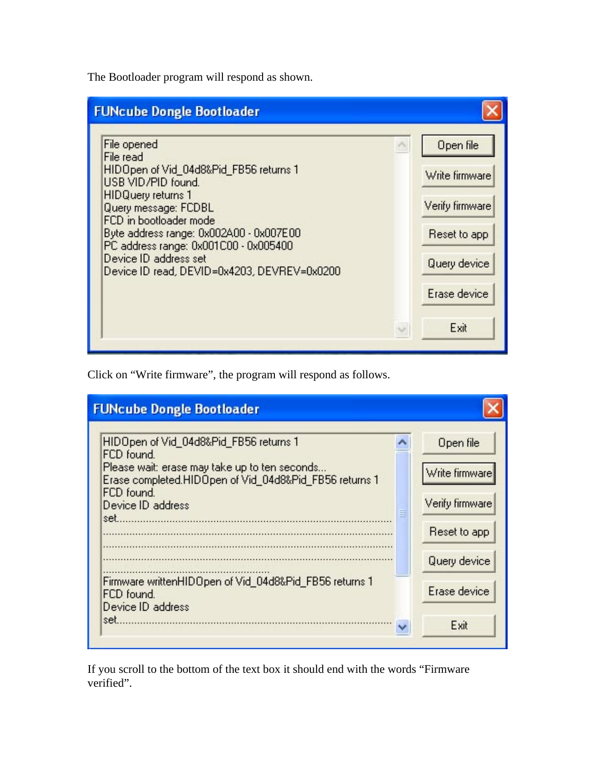The Bootloader program will respond as shown.

| <b>FUNcube Dongle Bootloader</b>                                                                                                                                                                                                                                                                                                    |                                                                                                        |
|-------------------------------------------------------------------------------------------------------------------------------------------------------------------------------------------------------------------------------------------------------------------------------------------------------------------------------------|--------------------------------------------------------------------------------------------------------|
| File opened<br>File read<br>HIDOpen of Vid_04d8&Pid_FB56 returns 1<br>USB VID/PID found.<br><b>HIDQuery returns 1</b><br>Query message: FCDBL<br>FCD in bootloader mode<br>Byte address range: 0x002A00 - 0x007E00<br>PC address range: 0x001C00 - 0x005400<br>Device ID address set<br>Device ID read, DEVID=0x4203, DEVREV=0x0200 | Open file<br>Write firmware<br>Verify firmware<br>Reset to app<br>Query device<br>Erase device<br>Exit |

Click on "Write firmware", the program will respond as follows.

| <b>FUNcube Dongle Bootloader</b>                                                                                                                                                                          |                                                                |
|-----------------------------------------------------------------------------------------------------------------------------------------------------------------------------------------------------------|----------------------------------------------------------------|
| HIDOpen of Vid_04d8&Pid_FB56 returns 1<br>FCD found.<br>Please wait: erase may take up to ten seconds<br>Erase completed.HIDOpen of Vid_04d8&Pid_FB56 returns 1<br>FCD found.<br>Device ID address<br>set | Open file<br>Write firmware<br>Verify firmware<br>Reset to app |
| Firmware writtenHIDOpen of Vid_04d8&Pid_FB56 returns 1<br>FCD found.<br>Device ID address<br>set.                                                                                                         | Query device<br>Erase device<br>Exit                           |

If you scroll to the bottom of the text box it should end with the words "Firmware verified".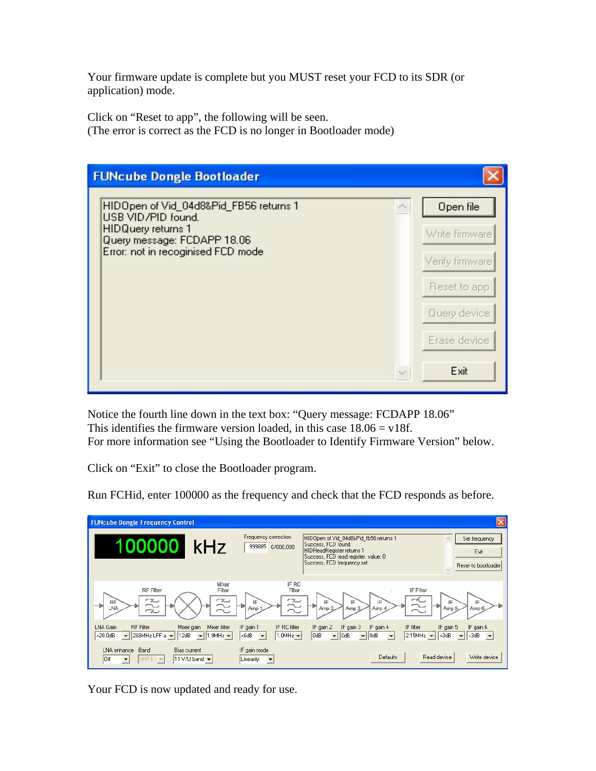Your firmware update is complete but you MUST reset your FCD to its SDR (or application) mode.

Click on "Reset to app", the following will be seen. (The error is correct as the FCD is no longer in Bootloader mode)

| <b>FUNcube Dongle Bootloader</b>                                                               |        |                 |
|------------------------------------------------------------------------------------------------|--------|-----------------|
| HIDOpen of Vid_04d8&Pid_FB56 returns 1<br>USB VID/PID found.                                   |        | Open file       |
| <b>HIDQuery returns 1</b><br>Query message: FCDAPP 18.06<br>Error: not in recoginised FCD mode |        | Write firmware  |
|                                                                                                |        | Verify firmware |
|                                                                                                |        | Reset to app    |
|                                                                                                |        | Query device.   |
|                                                                                                |        | Erase device    |
|                                                                                                | $\sim$ | Exit            |

Notice the fourth line down in the text box: "Query message: FCDAPP 18.06" This identifies the firmware version loaded, in this case  $18.06 = v18f$ . For more information see "Using the Bootloader to Identify Firmware Version" below.

Click on "Exit" to close the Bootloader program.

Run FCHid, enter 100000 as the frequency and check that the FCD responds as before.

| <b>FUNcube Dongle Frequency Control</b>                                                                                                        |                                                                                           |                                                                                                                                                                   | $\overline{\mathsf{x}}$                                                                                                            |
|------------------------------------------------------------------------------------------------------------------------------------------------|-------------------------------------------------------------------------------------------|-------------------------------------------------------------------------------------------------------------------------------------------------------------------|------------------------------------------------------------------------------------------------------------------------------------|
| 100000<br>kHz                                                                                                                                  | Frequency correction<br>999885<br>0/000.000                                               | HIDOpen of Vid 04d8&Pid fb56 returns 1<br>Success, FCD found.<br>HIDReadRegister returns 1<br>Success, FCD read register, value: 0<br>Success, FCD frequency set. | Set frequency<br>Exit<br>Reset to bootloader                                                                                       |
| Mixer<br><b>RF</b> Filter<br>Filter<br>$\sim$<br>$\sim$<br>RF<br>LNA                                                                           | IF RC<br>Filter<br>22<br>IF<br>Amp:                                                       | IF<br>IF<br>IF<br>Amp <sub>2</sub><br>Amp 3<br>Amp 4                                                                                                              | IF Filter<br>∼<br>Æ<br>Amp 5<br>Amp 6                                                                                              |
| LNA Gain<br><b>RF</b> Filter<br>Mixer filter<br>Mixer gain<br>$\bullet$ 268MHz LPF a $\bullet$ 12dB<br>$+20.0dB$<br>$\bullet$ 1.9MHz $\bullet$ | IF gain 1<br>IF RC filter<br>$+6dB$<br>$\overline{\phantom{0}}$<br>$1.0MHz$ $\rightarrow$ | IF gain 3<br>IF gain 2<br>IF gain 4<br>OdB<br>$\overline{\phantom{a}}$<br>  0dB<br>$-$ 0dB<br>$\overline{\phantom{a}}$                                            | IF gain 5<br>IF gain 6<br>IF filter<br>$2.15MHz$ $\rightarrow$<br>$+3dB$<br>$\blacktriangleright$ +3dB<br>$\overline{\phantom{a}}$ |
| LNA enhance<br><b>Bias current</b><br>Band<br>Off<br>VHF II<br>11 V/U band $\blacktriangledown$<br>$\overline{\phantom{a}}$<br>$\rightarrow$   | IF gain mode<br>Linearity<br>$\blacktriangledown$                                         | <b>Defaults</b>                                                                                                                                                   | Write device<br>Read device                                                                                                        |

Your FCD is now updated and ready for use.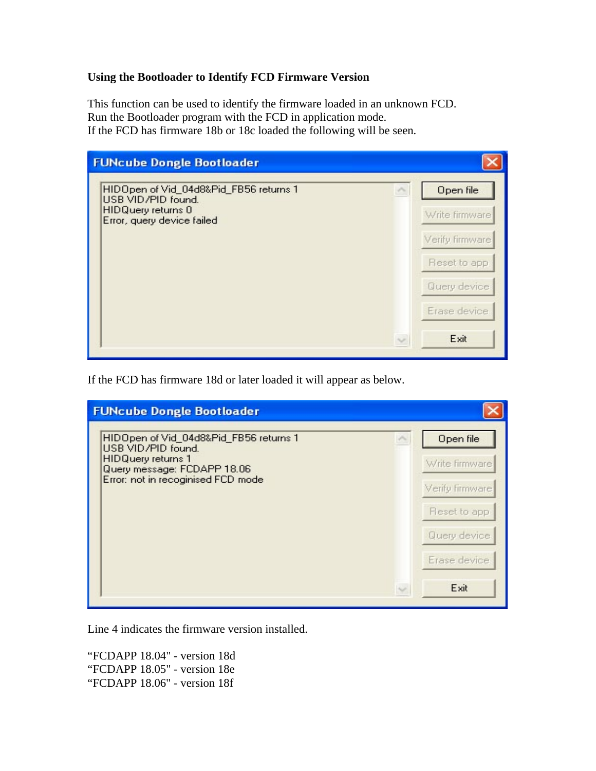#### **Using the Bootloader to Identify FCD Firmware Version**

This function can be used to identify the firmware loaded in an unknown FCD. Run the Bootloader program with the FCD in application mode. If the FCD has firmware 18b or 18c loaded the following will be seen.



If the FCD has firmware 18d or later loaded it will appear as below.

| <b>FUNcube Dongle Bootloader</b>                                                          |                                   |
|-------------------------------------------------------------------------------------------|-----------------------------------|
| HIDOpen of Vid_04d8&Pid_FB56 returns 1<br>USB VID/PID found.<br><b>HIDQuery returns 1</b> | Open file                         |
| Query message: FCDAPP 18.06<br>Error: not in recoginised FCD mode                         | Write firmware<br>Verify firmware |
|                                                                                           | Reset to app                      |
|                                                                                           | Query device.                     |
|                                                                                           | Erase device                      |
|                                                                                           | Exit                              |

Line 4 indicates the firmware version installed.

"FCDAPP 18.04" - version 18d "FCDAPP 18.05" - version 18e "FCDAPP 18.06" - version 18f